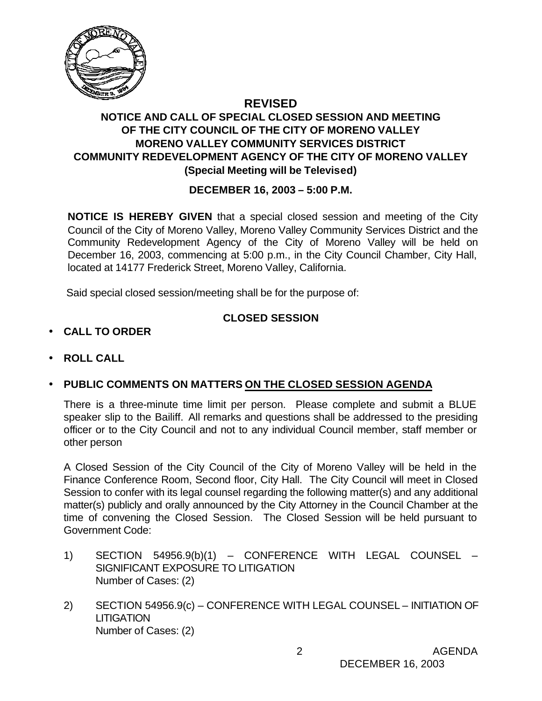

### **REVISED NOTICE AND CALL OF SPECIAL CLOSED SESSION AND MEETING OF THE CITY COUNCIL OF THE CITY OF MORENO VALLEY MORENO VALLEY COMMUNITY SERVICES DISTRICT COMMUNITY REDEVELOPMENT AGENCY OF THE CITY OF MORENO VALLEY (Special Meeting will be Televised)**

# **DECEMBER 16, 2003 – 5:00 P.M.**

**NOTICE IS HEREBY GIVEN** that a special closed session and meeting of the City Council of the City of Moreno Valley, Moreno Valley Community Services District and the Community Redevelopment Agency of the City of Moreno Valley will be held on December 16, 2003, commencing at 5:00 p.m., in the City Council Chamber, City Hall, located at 14177 Frederick Street, Moreno Valley, California.

Said special closed session/meeting shall be for the purpose of:

# **CLOSED SESSION**

- **CALL TO ORDER**
- **ROLL CALL**
- **PUBLIC COMMENTS ON MATTERS ON THE CLOSED SESSION AGENDA**

There is a three-minute time limit per person. Please complete and submit a BLUE speaker slip to the Bailiff. All remarks and questions shall be addressed to the presiding officer or to the City Council and not to any individual Council member, staff member or other person

A Closed Session of the City Council of the City of Moreno Valley will be held in the Finance Conference Room, Second floor, City Hall. The City Council will meet in Closed Session to confer with its legal counsel regarding the following matter(s) and any additional matter(s) publicly and orally announced by the City Attorney in the Council Chamber at the time of convening the Closed Session. The Closed Session will be held pursuant to Government Code:

- 1) SECTION 54956.9(b)(1) CONFERENCE WITH LEGAL COUNSEL SIGNIFICANT EXPOSURE TO LITIGATION Number of Cases: (2)
- 2) SECTION 54956.9(c) CONFERENCE WITH LEGAL COUNSEL INITIATION OF **LITIGATION** Number of Cases: (2)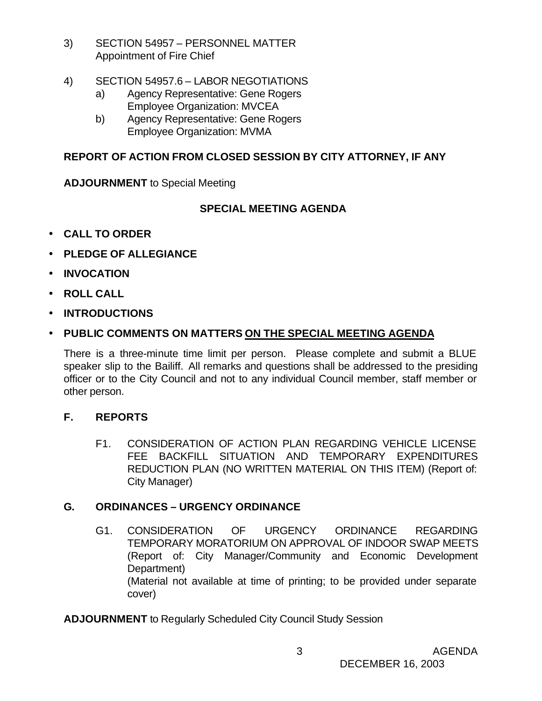- 3) SECTION 54957 PERSONNEL MATTER Appointment of Fire Chief
- 4) SECTION 54957.6 LABOR NEGOTIATIONS
	- a) Agency Representative: Gene Rogers Employee Organization: MVCEA
	- b) Agency Representative: Gene Rogers Employee Organization: MVMA

### **REPORT OF ACTION FROM CLOSED SESSION BY CITY ATTORNEY, IF ANY**

**ADJOURNMENT** to Special Meeting

### **SPECIAL MEETING AGENDA**

- **CALL TO ORDER**
- **PLEDGE OF ALLEGIANCE**
- **INVOCATION**
- **ROLL CALL**
- **INTRODUCTIONS**

# • **PUBLIC COMMENTS ON MATTERS ON THE SPECIAL MEETING AGENDA**

There is a three-minute time limit per person. Please complete and submit a BLUE speaker slip to the Bailiff. All remarks and questions shall be addressed to the presiding officer or to the City Council and not to any individual Council member, staff member or other person.

### **F. REPORTS**

F1. CONSIDERATION OF ACTION PLAN REGARDING VEHICLE LICENSE FEE BACKFILL SITUATION AND TEMPORARY EXPENDITURES REDUCTION PLAN (NO WRITTEN MATERIAL ON THIS ITEM) (Report of: City Manager)

# **G. ORDINANCES – URGENCY ORDINANCE**

G1. CONSIDERATION OF URGENCY ORDINANCE REGARDING TEMPORARY MORATORIUM ON APPROVAL OF INDOOR SWAP MEETS (Report of: City Manager/Community and Economic Development Department) (Material not available at time of printing; to be provided under separate cover)

**ADJOURNMENT** to Regularly Scheduled City Council Study Session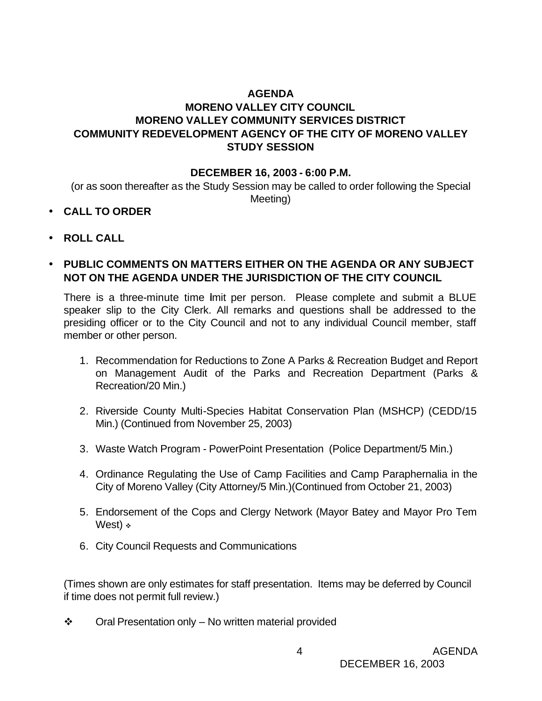### **AGENDA MORENO VALLEY CITY COUNCIL MORENO VALLEY COMMUNITY SERVICES DISTRICT COMMUNITY REDEVELOPMENT AGENCY OF THE CITY OF MORENO VALLEY STUDY SESSION**

#### **DECEMBER 16, 2003 - 6:00 P.M.**

(or as soon thereafter as the Study Session may be called to order following the Special Meeting)

- **CALL TO ORDER**
- **ROLL CALL**
- **PUBLIC COMMENTS ON MATTERS EITHER ON THE AGENDA OR ANY SUBJECT NOT ON THE AGENDA UNDER THE JURISDICTION OF THE CITY COUNCIL**

There is a three-minute time lmit per person. Please complete and submit a BLUE speaker slip to the City Clerk. All remarks and questions shall be addressed to the presiding officer or to the City Council and not to any individual Council member, staff member or other person.

- 1. Recommendation for Reductions to Zone A Parks & Recreation Budget and Report on Management Audit of the Parks and Recreation Department (Parks & Recreation/20 Min.)
- 2. Riverside County Multi-Species Habitat Conservation Plan (MSHCP) (CEDD/15 Min.) (Continued from November 25, 2003)
- 3. Waste Watch Program PowerPoint Presentation (Police Department/5 Min.)
- 4. Ordinance Regulating the Use of Camp Facilities and Camp Paraphernalia in the City of Moreno Valley (City Attorney/5 Min.)(Continued from October 21, 2003)
- 5. Endorsement of the Cops and Clergy Network (Mayor Batey and Mayor Pro Tem West)  $\cdot$
- 6. City Council Requests and Communications

(Times shown are only estimates for staff presentation. Items may be deferred by Council if time does not permit full review.)

 $\div$  Oral Presentation only – No written material provided